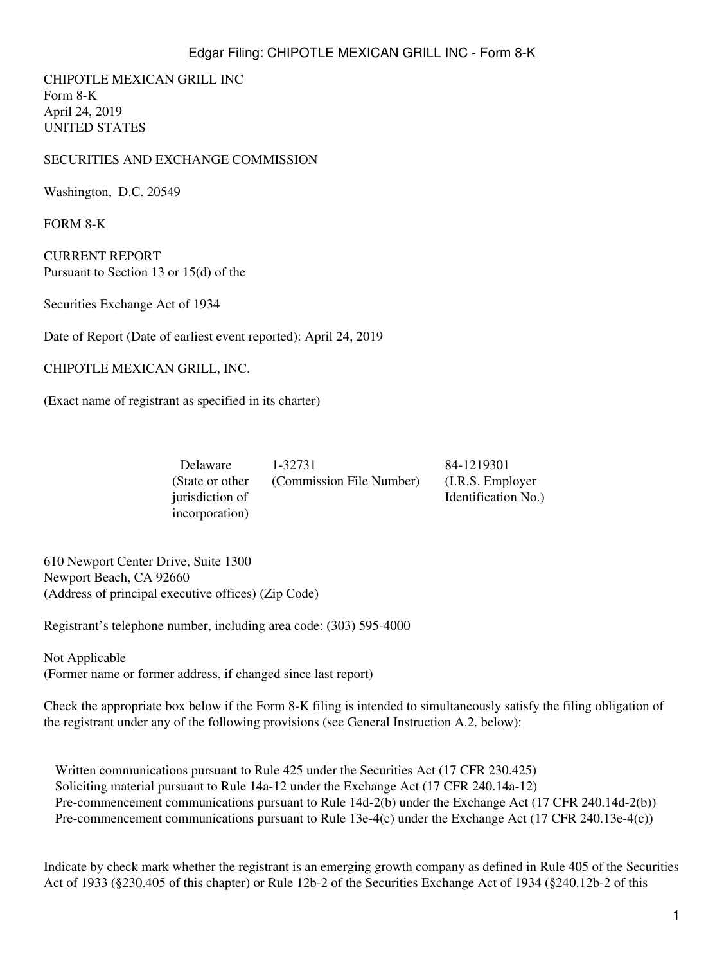CHIPOTLE MEXICAN GRILL INC Form 8-K April 24, 2019 UNITED STATES

## SECURITIES AND EXCHANGE COMMISSION

Washington, D.C. 20549

FORM 8-K

CURRENT REPORT Pursuant to Section 13 or 15(d) of the

Securities Exchange Act of 1934

Date of Report (Date of earliest event reported): April 24, 2019

CHIPOTLE MEXICAN GRILL, INC.

(Exact name of registrant as specified in its charter)

| Delaware         | 1-32731                  | 84-1219301          |
|------------------|--------------------------|---------------------|
| (State or other) | (Commission File Number) | (I.R.S. Employer)   |
| jurisdiction of  |                          | Identification No.) |
| incorporation)   |                          |                     |

610 Newport Center Drive, Suite 1300 Newport Beach, CA 92660 (Address of principal executive offices) (Zip Code)

Registrant's telephone number, including area code: (303) 595-4000

Not Applicable (Former name or former address, if changed since last report)

Check the appropriate box below if the Form 8-K filing is intended to simultaneously satisfy the filing obligation of the registrant under any of the following provisions (see General Instruction A.2. below):

Written communications pursuant to Rule 425 under the Securities Act (17 CFR 230.425) Soliciting material pursuant to Rule 14a-12 under the Exchange Act (17 CFR 240.14a-12) Pre-commencement communications pursuant to Rule 14d-2(b) under the Exchange Act (17 CFR 240.14d-2(b)) Pre-commencement communications pursuant to Rule 13e-4(c) under the Exchange Act (17 CFR 240.13e-4(c))

Indicate by check mark whether the registrant is an emerging growth company as defined in Rule 405 of the Securities Act of 1933 (§230.405 of this chapter) or Rule 12b-2 of the Securities Exchange Act of 1934 (§240.12b-2 of this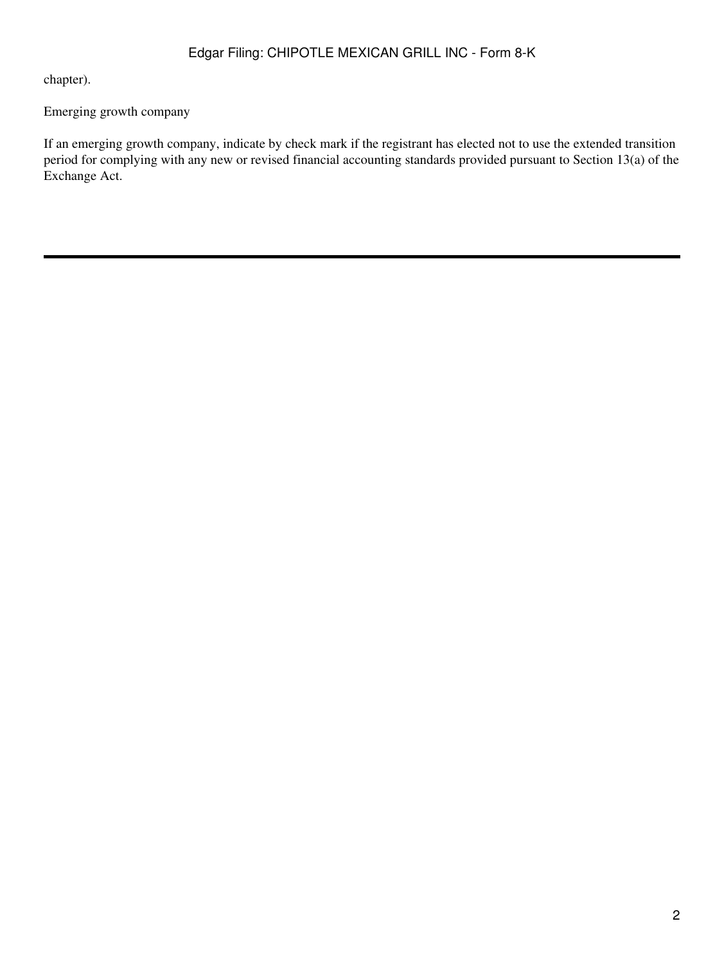chapter).

## Emerging growth company

If an emerging growth company, indicate by check mark if the registrant has elected not to use the extended transition period for complying with any new or revised financial accounting standards provided pursuant to Section 13(a) of the Exchange Act.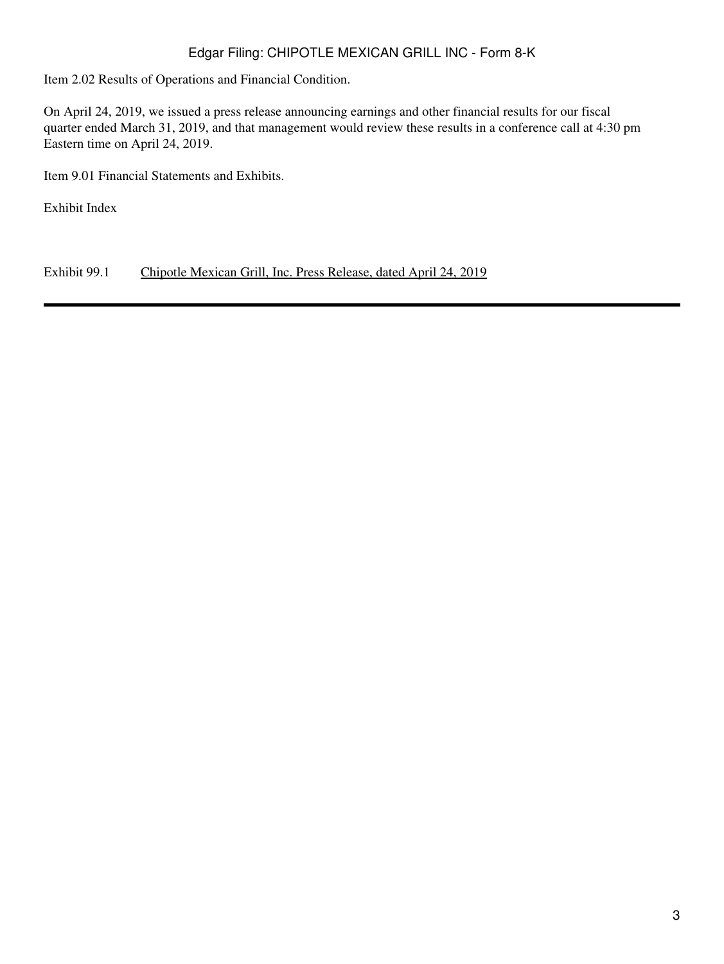## Edgar Filing: CHIPOTLE MEXICAN GRILL INC - Form 8-K

Item 2.02 Results of Operations and Financial Condition.

On April 24, 2019, we issued a press release announcing earnings and other financial results for our fiscal quarter ended March 31, 2019, and that management would review these results in a conference call at 4:30 pm Eastern time on April 24, 2019.

Item 9.01 Financial Statements and Exhibits.

Exhibit Index

Exhibit 99.1 Chipotle Mexican Grill, Inc. Press Release, dated April 24, 2019